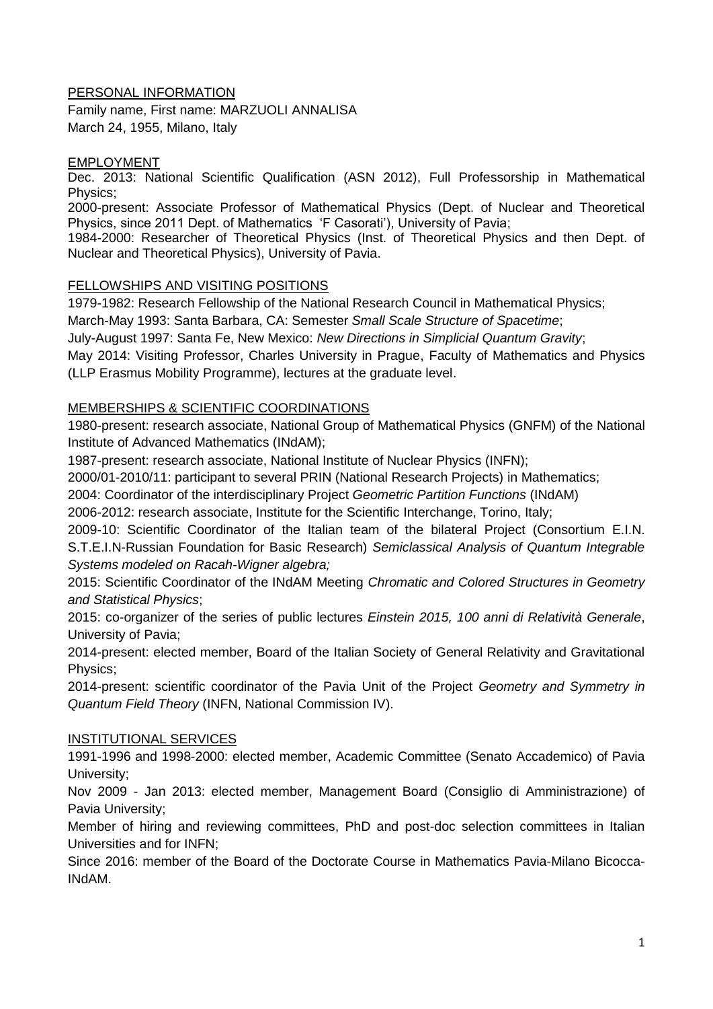### PERSONAL INFORMATION

Family name, First name: MARZUOLI ANNALISA March 24, 1955, Milano, Italy

#### EMPLOYMENT

Dec. 2013: National Scientific Qualification (ASN 2012), Full Professorship in Mathematical Physics;

2000-present: Associate Professor of Mathematical Physics (Dept. of Nuclear and Theoretical Physics, since 2011 Dept. of Mathematics 'F Casorati'), University of Pavia;

1984-2000: Researcher of Theoretical Physics (Inst. of Theoretical Physics and then Dept. of Nuclear and Theoretical Physics), University of Pavia.

#### FELLOWSHIPS AND VISITING POSITIONS

1979-1982: Research Fellowship of the National Research Council in Mathematical Physics;

March-May 1993: Santa Barbara, CA: Semester *Small Scale Structure of Spacetime*;

July-August 1997: Santa Fe, New Mexico: *New Directions in Simplicial Quantum Gravity*;

May 2014: Visiting Professor, Charles University in Prague, Faculty of Mathematics and Physics (LLP Erasmus Mobility Programme), lectures at the graduate level.

### MEMBERSHIPS & SCIENTIFIC COORDINATIONS

1980-present: research associate, National Group of Mathematical Physics (GNFM) of the National Institute of Advanced Mathematics (INdAM);

1987-present: research associate, National Institute of Nuclear Physics (INFN);

2000/01-2010/11: participant to several PRIN (National Research Projects) in Mathematics;

2004: Coordinator of the interdisciplinary Project *Geometric Partition Functions* (INdAM)

2006-2012: research associate, Institute for the Scientific Interchange, Torino, Italy;

2009-10: Scientific Coordinator of the Italian team of the bilateral Project (Consortium E.I.N. S.T.E.I.N-Russian Foundation for Basic Research) *Semiclassical Analysis of Quantum Integrable Systems modeled on Racah-Wigner algebra;*

2015: Scientific Coordinator of the INdAM Meeting *Chromatic and Colored Structures in Geometry and Statistical Physics*;

2015: co-organizer of the series of public lectures *Einstein 2015, 100 anni di Relatività Generale*, University of Pavia;

2014-present: elected member, Board of the Italian Society of General Relativity and Gravitational Physics;

2014-present: scientific coordinator of the Pavia Unit of the Project *Geometry and Symmetry in Quantum Field Theory* (INFN, National Commission IV).

#### INSTITUTIONAL SERVICES

1991-1996 and 1998-2000: elected member, Academic Committee (Senato Accademico) of Pavia University;

Nov 2009 - Jan 2013: elected member, Management Board (Consiglio di Amministrazione) of Pavia University;

Member of hiring and reviewing committees, PhD and post-doc selection committees in Italian Universities and for INFN;

Since 2016: member of the Board of the Doctorate Course in Mathematics Pavia-Milano Bicocca-INdAM.